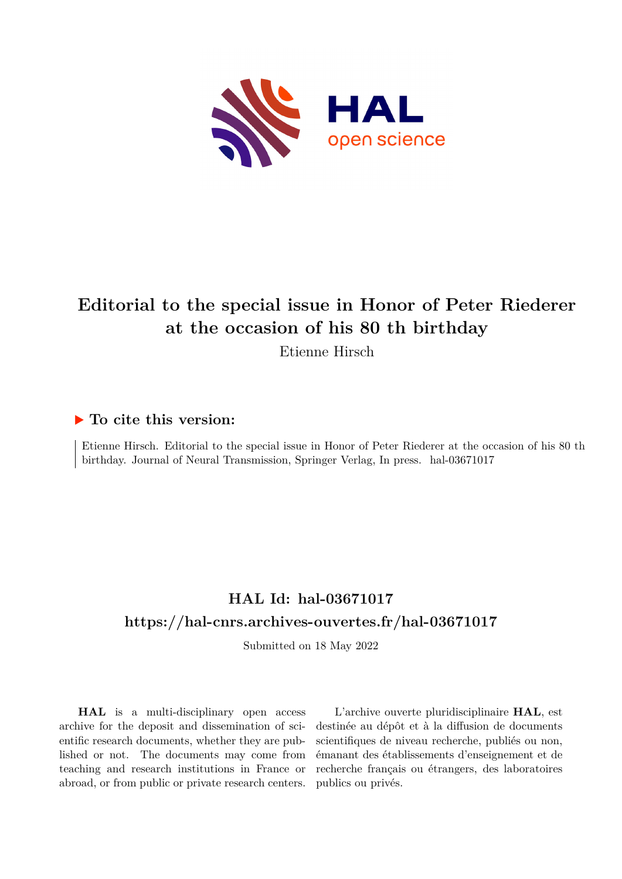

## **Editorial to the special issue in Honor of Peter Riederer at the occasion of his 80 th birthday**

Etienne Hirsch

## **To cite this version:**

Etienne Hirsch. Editorial to the special issue in Honor of Peter Riederer at the occasion of his 80 th birthday. Journal of Neural Transmission, Springer Verlag, In press. hal-03671017

## **HAL Id: hal-03671017 <https://hal-cnrs.archives-ouvertes.fr/hal-03671017>**

Submitted on 18 May 2022

**HAL** is a multi-disciplinary open access archive for the deposit and dissemination of scientific research documents, whether they are published or not. The documents may come from teaching and research institutions in France or abroad, or from public or private research centers.

L'archive ouverte pluridisciplinaire **HAL**, est destinée au dépôt et à la diffusion de documents scientifiques de niveau recherche, publiés ou non, émanant des établissements d'enseignement et de recherche français ou étrangers, des laboratoires publics ou privés.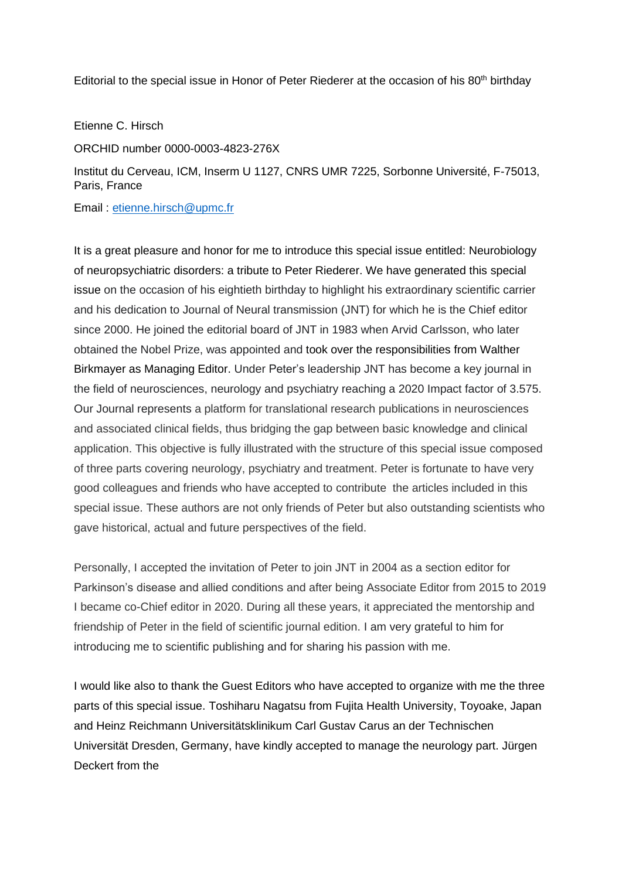Editorial to the special issue in Honor of Peter Riederer at the occasion of his 80<sup>th</sup> birthday

## Etienne C. Hirsch

ORCHID number 0000-0003-4823-276X

Institut du Cerveau, ICM, Inserm U 1127, CNRS UMR 7225, Sorbonne Université, F-75013, Paris, France

Email : [etienne.hirsch@upmc.fr](mailto:etienne.hirsch@upmc.fr)

It is a great pleasure and honor for me to introduce this special issue entitled: Neurobiology of neuropsychiatric disorders: a tribute to Peter Riederer. We have generated this special issue on the occasion of his eightieth birthday to highlight his extraordinary scientific carrier and his dedication to Journal of Neural transmission (JNT) for which he is the Chief editor since 2000. He joined the editorial board of JNT in 1983 when Arvid Carlsson, who later obtained the Nobel Prize, was appointed and took over the responsibilities from Walther Birkmayer as Managing Editor. Under Peter's leadership JNT has become a key journal in the field of neurosciences, neurology and psychiatry reaching a 2020 Impact factor of 3.575. Our Journal represents a platform for translational research publications in neurosciences and associated clinical fields, thus bridging the gap between basic knowledge and clinical application. This objective is fully illustrated with the structure of this special issue composed of three parts covering neurology, psychiatry and treatment. Peter is fortunate to have very good colleagues and friends who have accepted to contribute the articles included in this special issue. These authors are not only friends of Peter but also outstanding scientists who gave historical, actual and future perspectives of the field.

Personally, I accepted the invitation of Peter to join JNT in 2004 as a section editor for Parkinson's disease and allied conditions and after being Associate Editor from 2015 to 2019 I became co-Chief editor in 2020. During all these years, it appreciated the mentorship and friendship of Peter in the field of scientific journal edition. I am very grateful to him for introducing me to scientific publishing and for sharing his passion with me.

I would like also to thank the Guest Editors who have accepted to organize with me the three parts of this special issue. Toshiharu Nagatsu from Fujita Health University, Toyoake, Japan and Heinz Reichmann Universitätsklinikum Carl Gustav Carus an der Technischen Universität Dresden, Germany, have kindly accepted to manage the neurology part. Jürgen Deckert from the